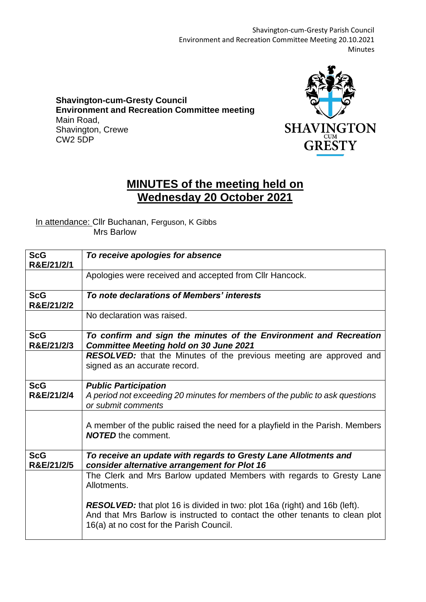Shavington-cum-Gresty Parish Council Environment and Recreation Committee Meeting 20.10.2021 Minutes

**Shavington-cum-Gresty Council Environment and Recreation Committee meeting** Main Road, Shavington, Crewe CW2 5DP



## **MINUTES of the meeting held on Wednesday 20 October 2021**

## In attendance: Cllr Buchanan, Ferguson, K Gibbs Mrs Barlow

| <b>ScG</b><br>R&E/21/2/1 | To receive apologies for absence                                                                                                                                                                              |
|--------------------------|---------------------------------------------------------------------------------------------------------------------------------------------------------------------------------------------------------------|
|                          | Apologies were received and accepted from CIIr Hancock.                                                                                                                                                       |
| <b>ScG</b><br>R&E/21/2/2 | To note declarations of Members' interests                                                                                                                                                                    |
|                          | No declaration was raised.                                                                                                                                                                                    |
| <b>ScG</b><br>R&E/21/2/3 | To confirm and sign the minutes of the Environment and Recreation<br><b>Committee Meeting hold on 30 June 2021</b>                                                                                            |
|                          | <b>RESOLVED:</b> that the Minutes of the previous meeting are approved and<br>signed as an accurate record.                                                                                                   |
| <b>ScG</b><br>R&E/21/2/4 | <b>Public Participation</b><br>A period not exceeding 20 minutes for members of the public to ask questions<br>or submit comments                                                                             |
|                          | A member of the public raised the need for a playfield in the Parish. Members<br><b>NOTED</b> the comment.                                                                                                    |
| <b>ScG</b><br>R&E/21/2/5 | To receive an update with regards to Gresty Lane Allotments and<br>consider alternative arrangement for Plot 16                                                                                               |
|                          | The Clerk and Mrs Barlow updated Members with regards to Gresty Lane<br>Allotments.                                                                                                                           |
|                          | <b>RESOLVED:</b> that plot 16 is divided in two: plot 16a (right) and 16b (left).<br>And that Mrs Barlow is instructed to contact the other tenants to clean plot<br>16(a) at no cost for the Parish Council. |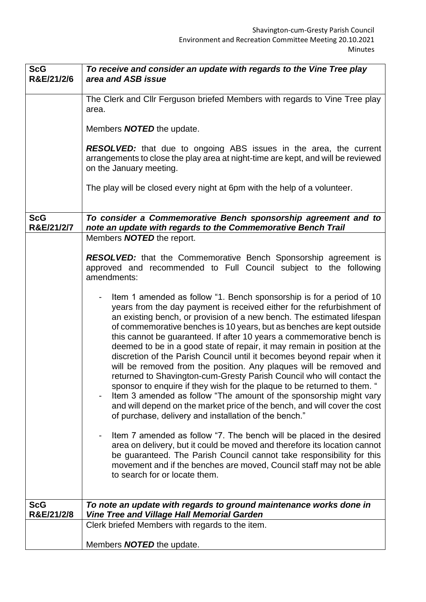| <b>ScG</b><br>R&E/21/2/6 | To receive and consider an update with regards to the Vine Tree play<br>area and ASB issue                                                                                                                                                                                                                                                                                                                                                                                                                                                                                                                                                                                                                                                                                                                                                                                                                                                                                                 |
|--------------------------|--------------------------------------------------------------------------------------------------------------------------------------------------------------------------------------------------------------------------------------------------------------------------------------------------------------------------------------------------------------------------------------------------------------------------------------------------------------------------------------------------------------------------------------------------------------------------------------------------------------------------------------------------------------------------------------------------------------------------------------------------------------------------------------------------------------------------------------------------------------------------------------------------------------------------------------------------------------------------------------------|
|                          |                                                                                                                                                                                                                                                                                                                                                                                                                                                                                                                                                                                                                                                                                                                                                                                                                                                                                                                                                                                            |
|                          | The Clerk and Cllr Ferguson briefed Members with regards to Vine Tree play<br>area.                                                                                                                                                                                                                                                                                                                                                                                                                                                                                                                                                                                                                                                                                                                                                                                                                                                                                                        |
|                          | Members <b>NOTED</b> the update.                                                                                                                                                                                                                                                                                                                                                                                                                                                                                                                                                                                                                                                                                                                                                                                                                                                                                                                                                           |
|                          | <b>RESOLVED:</b> that due to ongoing ABS issues in the area, the current<br>arrangements to close the play area at night-time are kept, and will be reviewed<br>on the January meeting.                                                                                                                                                                                                                                                                                                                                                                                                                                                                                                                                                                                                                                                                                                                                                                                                    |
|                          | The play will be closed every night at 6pm with the help of a volunteer.                                                                                                                                                                                                                                                                                                                                                                                                                                                                                                                                                                                                                                                                                                                                                                                                                                                                                                                   |
| <b>ScG</b><br>R&E/21/2/7 | To consider a Commemorative Bench sponsorship agreement and to<br>note an update with regards to the Commemorative Bench Trail                                                                                                                                                                                                                                                                                                                                                                                                                                                                                                                                                                                                                                                                                                                                                                                                                                                             |
|                          | Members <b>NOTED</b> the report.                                                                                                                                                                                                                                                                                                                                                                                                                                                                                                                                                                                                                                                                                                                                                                                                                                                                                                                                                           |
|                          | <b>RESOLVED:</b> that the Commemorative Bench Sponsorship agreement is<br>approved and recommended to Full Council subject to the following<br>amendments:                                                                                                                                                                                                                                                                                                                                                                                                                                                                                                                                                                                                                                                                                                                                                                                                                                 |
|                          | Item 1 amended as follow "1. Bench sponsorship is for a period of 10<br>$\blacksquare$<br>years from the day payment is received either for the refurbishment of<br>an existing bench, or provision of a new bench. The estimated lifespan<br>of commemorative benches is 10 years, but as benches are kept outside<br>this cannot be guaranteed. If after 10 years a commemorative bench is<br>deemed to be in a good state of repair, it may remain in position at the<br>discretion of the Parish Council until it becomes beyond repair when it<br>will be removed from the position. Any plaques will be removed and<br>returned to Shavington-cum-Gresty Parish Council who will contact the<br>sponsor to enquire if they wish for the plaque to be returned to them. "<br>Item 3 amended as follow "The amount of the sponsorship might vary<br>and will depend on the market price of the bench, and will cover the cost<br>of purchase, delivery and installation of the bench." |
|                          | Item 7 amended as follow "7. The bench will be placed in the desired<br>area on delivery, but it could be moved and therefore its location cannot<br>be guaranteed. The Parish Council cannot take responsibility for this<br>movement and if the benches are moved, Council staff may not be able<br>to search for or locate them.                                                                                                                                                                                                                                                                                                                                                                                                                                                                                                                                                                                                                                                        |
| <b>ScG</b>               | To note an update with regards to ground maintenance works done in                                                                                                                                                                                                                                                                                                                                                                                                                                                                                                                                                                                                                                                                                                                                                                                                                                                                                                                         |
| R&E/21/2/8               | <b>Vine Tree and Village Hall Memorial Garden</b><br>Clerk briefed Members with regards to the item.                                                                                                                                                                                                                                                                                                                                                                                                                                                                                                                                                                                                                                                                                                                                                                                                                                                                                       |
|                          |                                                                                                                                                                                                                                                                                                                                                                                                                                                                                                                                                                                                                                                                                                                                                                                                                                                                                                                                                                                            |
|                          | Members <b>NOTED</b> the update.                                                                                                                                                                                                                                                                                                                                                                                                                                                                                                                                                                                                                                                                                                                                                                                                                                                                                                                                                           |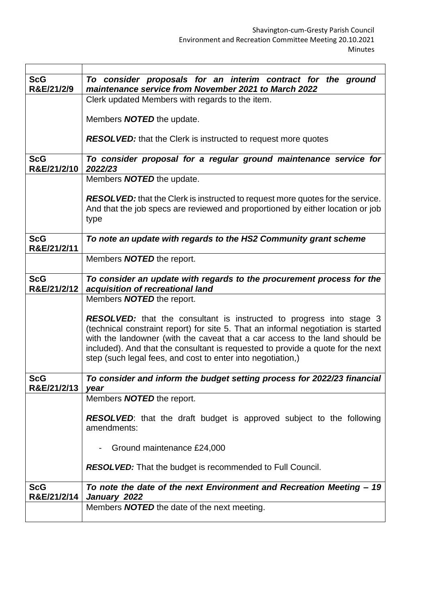| <b>ScG</b>  | To consider proposals for an interim contract for the ground                          |
|-------------|---------------------------------------------------------------------------------------|
| R&E/21/2/9  | maintenance service from November 2021 to March 2022                                  |
|             |                                                                                       |
|             | Clerk updated Members with regards to the item.                                       |
|             |                                                                                       |
|             | Members <b>NOTED</b> the update.                                                      |
|             |                                                                                       |
|             | <b>RESOLVED:</b> that the Clerk is instructed to request more quotes                  |
|             |                                                                                       |
| <b>ScG</b>  | To consider proposal for a regular ground maintenance service for                     |
| R&E/21/2/10 | 2022/23                                                                               |
|             | Members <b>NOTED</b> the update.                                                      |
|             |                                                                                       |
|             | <b>RESOLVED:</b> that the Clerk is instructed to request more quotes for the service. |
|             | And that the job specs are reviewed and proportioned by either location or job        |
|             | type                                                                                  |
|             |                                                                                       |
| <b>ScG</b>  | To note an update with regards to the HS2 Community grant scheme                      |
| R&E/21/2/11 |                                                                                       |
|             | Members <b>NOTED</b> the report.                                                      |
|             |                                                                                       |
| <b>ScG</b>  | To consider an update with regards to the procurement process for the                 |
| R&E/21/2/12 | acquisition of recreational land                                                      |
|             | Members <b>NOTED</b> the report.                                                      |
|             |                                                                                       |
|             | <b>RESOLVED:</b> that the consultant is instructed to progress into stage 3           |
|             |                                                                                       |
|             | (technical constraint report) for site 5. That an informal negotiation is started     |
|             | with the landowner (with the caveat that a car access to the land should be           |
|             | included). And that the consultant is requested to provide a quote for the next       |
|             | step (such legal fees, and cost to enter into negotiation,)                           |
|             |                                                                                       |
| <b>ScG</b>  | To consider and inform the budget setting process for 2022/23 financial               |
| R&E/21/2/13 | year                                                                                  |
|             | Members <b>NOTED</b> the report.                                                      |
|             |                                                                                       |
|             | <b>RESOLVED:</b> that the draft budget is approved subject to the following           |
|             | amendments:                                                                           |
|             |                                                                                       |
|             | Ground maintenance £24,000                                                            |
|             |                                                                                       |
|             | <b>RESOLVED:</b> That the budget is recommended to Full Council.                      |
|             |                                                                                       |
| <b>ScG</b>  | To note the date of the next Environment and Recreation Meeting - 19                  |
| R&E/21/2/14 | January 2022                                                                          |
|             | Members <b>NOTED</b> the date of the next meeting.                                    |
|             |                                                                                       |